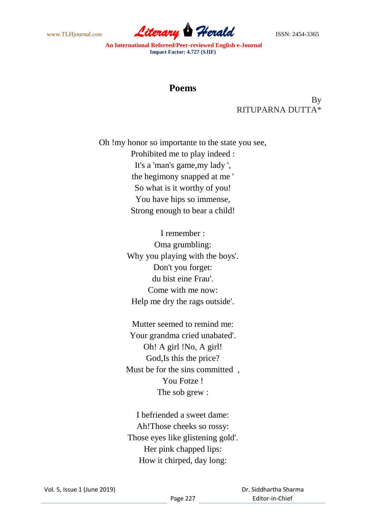www.TLHjournal.com **Literary Herald Herald** ISSN: 2454-3365

## **Poems**

By RITUPARNA DUTTA\*

Oh !my honor so importante to the state you see, Prohibited me to play indeed : It's a 'man's game,my lady ', the hegimony snapped at me ' So what is it worthy of you! You have hips so immense, Strong enough to bear a child!

> I remember : Oma grumbling: Why you playing with the boys'. Don't you forget: du bist eine Frau'. Come with me now: Help me dry the rags outside'.

> Mutter seemed to remind me: Your grandma cried unabated'. Oh! A girl !No, A girl! God,Is this the price? Must be for the sins committed , You Fotze ! The sob grew :

I befriended a sweet dame: Ah!Those cheeks so rossy: Those eyes like glistening gold'. Her pink chapped lips: How it chirped, day long:

 Dr. Siddhartha Sharma Editor-in-Chief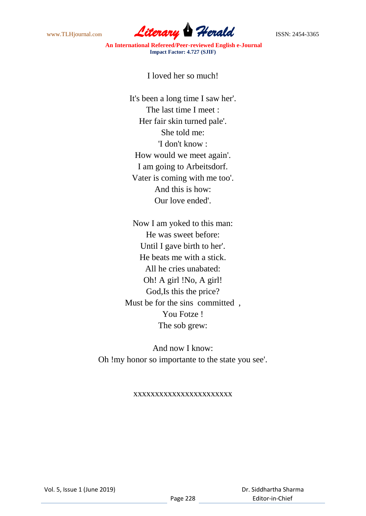www.TLHjournal.com **Literary Herald Herald ISSN: 2454-3365** 

I loved her so much!

It's been a long time I saw her'. The last time I meet : Her fair skin turned pale'. She told me: 'I don't know : How would we meet again'. I am going to Arbeitsdorf. Vater is coming with me too'. And this is how: Our love ended'.

Now I am yoked to this man: He was sweet before: Until I gave birth to her'. He beats me with a stick. All he cries unabated: Oh! A girl !No, A girl! God,Is this the price? Must be for the sins committed , You Fotze ! The sob grew:

And now I know: Oh !my honor so importante to the state you see'.

## xxxxxxxxxxxxxxxxxxxxxxx

 Dr. Siddhartha Sharma Editor-in-Chief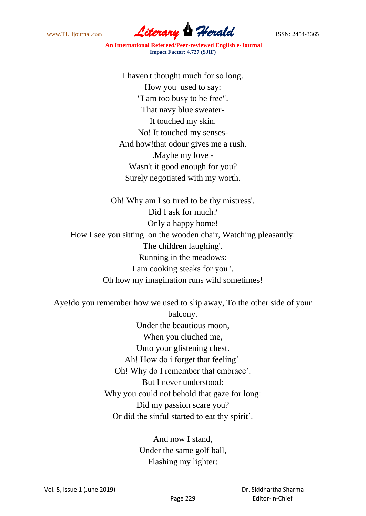www.TLHjournal.com **Literary Herald Herald** ISSN: 2454-3365

I haven't thought much for so long. How you used to say: "I am too busy to be free". That navy blue sweater-It touched my skin. No! It touched my senses-And how!that odour gives me a rush. .Maybe my love - Wasn't it good enough for you? Surely negotiated with my worth.

Oh! Why am I so tired to be thy mistress'. Did I ask for much? Only a happy home! How I see you sitting on the wooden chair, Watching pleasantly: The children laughing'. Running in the meadows: I am cooking steaks for you '. Oh how my imagination runs wild sometimes!

Aye!do you remember how we used to slip away, To the other side of your balcony. Under the beautious moon, When you cluched me, Unto your glistening chest. Ah! How do i forget that feeling'. Oh! Why do I remember that embrace'. But I never understood: Why you could not behold that gaze for long: Did my passion scare you? Or did the sinful started to eat thy spirit'.

> And now I stand, Under the same golf ball, Flashing my lighter:

 Dr. Siddhartha Sharma Editor-in-Chief